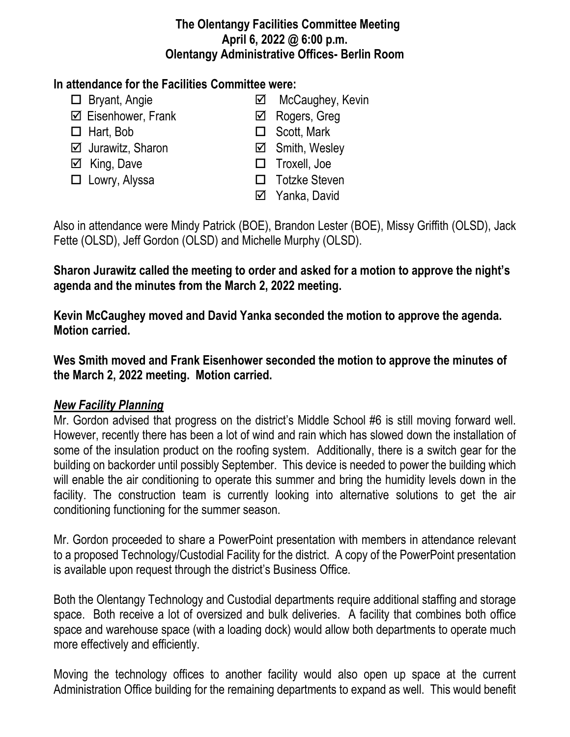### **The Olentangy Facilities Committee Meeting April 6, 2022 @ 6:00 p.m. Olentangy Administrative Offices- Berlin Room**

## **In attendance for the Facilities Committee were:**

- 
- $\boxtimes$  Eisenhower, Frank **a** Rogers, Greg
- 
- $\boxtimes$  Jurawitz, Sharon  $\boxtimes$  Smith, Wesley
- 
- 
- □ Bryant, Angie <br> **I** McCaughey, Kevin
	-
- $\Box$  Hart, Bob  $\Box$  Scott, Mark
	-
- $\Box$  King. Dave **TROXEL** Troxell, Joe
- □ Lowry, Alyssa <br>□ Totzke Steven
	- **⊠** Yanka, David

Also in attendance were Mindy Patrick (BOE), Brandon Lester (BOE), Missy Griffith (OLSD), Jack Fette (OLSD), Jeff Gordon (OLSD) and Michelle Murphy (OLSD).

# **Sharon Jurawitz called the meeting to order and asked for a motion to approve the night's agenda and the minutes from the March 2, 2022 meeting.**

**Kevin McCaughey moved and David Yanka seconded the motion to approve the agenda. Motion carried.**

**Wes Smith moved and Frank Eisenhower seconded the motion to approve the minutes of the March 2, 2022 meeting. Motion carried.**

## *New Facility Planning*

Mr. Gordon advised that progress on the district's Middle School #6 is still moving forward well. However, recently there has been a lot of wind and rain which has slowed down the installation of some of the insulation product on the roofing system. Additionally, there is a switch gear for the building on backorder until possibly September. This device is needed to power the building which will enable the air conditioning to operate this summer and bring the humidity levels down in the facility. The construction team is currently looking into alternative solutions to get the air conditioning functioning for the summer season.

Mr. Gordon proceeded to share a PowerPoint presentation with members in attendance relevant to a proposed Technology/Custodial Facility for the district. A copy of the PowerPoint presentation is available upon request through the district's Business Office.

Both the Olentangy Technology and Custodial departments require additional staffing and storage space. Both receive a lot of oversized and bulk deliveries. A facility that combines both office space and warehouse space (with a loading dock) would allow both departments to operate much more effectively and efficiently.

Moving the technology offices to another facility would also open up space at the current Administration Office building for the remaining departments to expand as well. This would benefit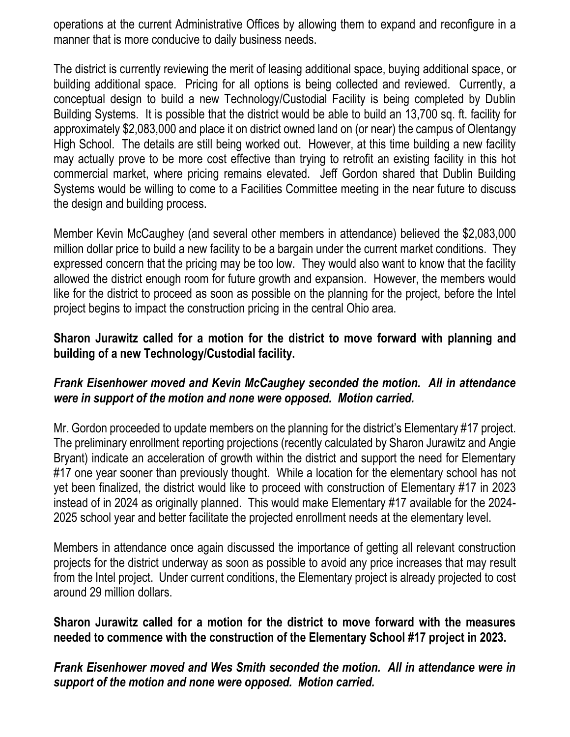operations at the current Administrative Offices by allowing them to expand and reconfigure in a manner that is more conducive to daily business needs.

The district is currently reviewing the merit of leasing additional space, buying additional space, or building additional space. Pricing for all options is being collected and reviewed. Currently, a conceptual design to build a new Technology/Custodial Facility is being completed by Dublin Building Systems. It is possible that the district would be able to build an 13,700 sq. ft. facility for approximately \$2,083,000 and place it on district owned land on (or near) the campus of Olentangy High School. The details are still being worked out. However, at this time building a new facility may actually prove to be more cost effective than trying to retrofit an existing facility in this hot commercial market, where pricing remains elevated. Jeff Gordon shared that Dublin Building Systems would be willing to come to a Facilities Committee meeting in the near future to discuss the design and building process.

Member Kevin McCaughey (and several other members in attendance) believed the \$2,083,000 million dollar price to build a new facility to be a bargain under the current market conditions. They expressed concern that the pricing may be too low. They would also want to know that the facility allowed the district enough room for future growth and expansion. However, the members would like for the district to proceed as soon as possible on the planning for the project, before the Intel project begins to impact the construction pricing in the central Ohio area.

## **Sharon Jurawitz called for a motion for the district to move forward with planning and building of a new Technology/Custodial facility.**

## *Frank Eisenhower moved and Kevin McCaughey seconded the motion. All in attendance were in support of the motion and none were opposed. Motion carried.*

Mr. Gordon proceeded to update members on the planning for the district's Elementary #17 project. The preliminary enrollment reporting projections (recently calculated by Sharon Jurawitz and Angie Bryant) indicate an acceleration of growth within the district and support the need for Elementary #17 one year sooner than previously thought. While a location for the elementary school has not yet been finalized, the district would like to proceed with construction of Elementary #17 in 2023 instead of in 2024 as originally planned. This would make Elementary #17 available for the 2024- 2025 school year and better facilitate the projected enrollment needs at the elementary level.

Members in attendance once again discussed the importance of getting all relevant construction projects for the district underway as soon as possible to avoid any price increases that may result from the Intel project. Under current conditions, the Elementary project is already projected to cost around 29 million dollars.

### **Sharon Jurawitz called for a motion for the district to move forward with the measures needed to commence with the construction of the Elementary School #17 project in 2023.**

*Frank Eisenhower moved and Wes Smith seconded the motion. All in attendance were in support of the motion and none were opposed. Motion carried.*